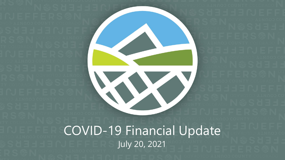

COVID-19 Financial Update July 20, 2021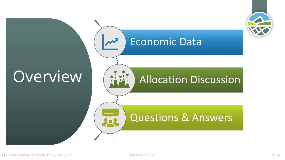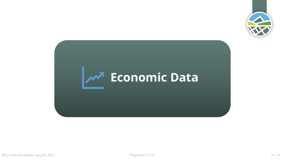

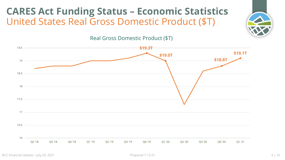## **CARES Act Funding Status – Economic Statistics** United States Real Gross Domestic Product (\$T)



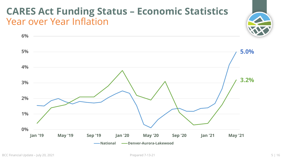## **CARES Act Funding Status – Economic Statistics** Year over Year Inflation



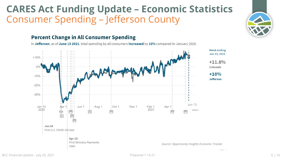### **CARES Act Funding Update – Economic Statistics** Consumer Spending – Jefferson County



#### **Percent Change in All Consumer Spending**

In Jefferson, as of June 13 2021, total spending by all consumers increased by 10% compared to January 2020.



BCC Financial Update – July 20, 2021 **Prepared 7-13-21 Prepared 7-13-21 6 | 16**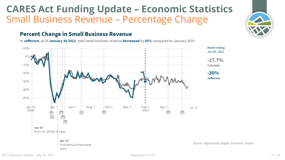### **CARES Act Funding Update – Economic Statistics** Small Business Revenue – Percentage Change

#### **Percent Change in Small Business Revenue**

In Jefferson, as of January 30 2021, total small business revenue decreased by 30% compared to January 2020.

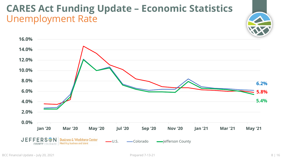### **CARES Act Funding Update – Economic Statistics** Unemployment Rate



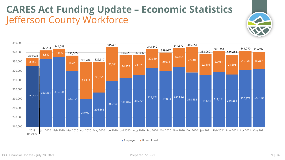## **CARES Act Funding Update – Economic Statistics** Jefferson County Workforce





Employed Unemployed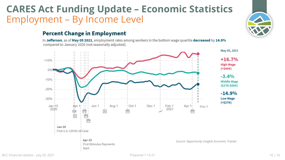## **CARES Act Funding Update – Economic Statistics** Employment – By Income Level

#### **Percent Change in Employment**

In Jefferson, as of May 05 2021, employment rates among workers in the bottom wage quartile decreased by 14.9% compared to January 2020 (not seasonally adjusted).



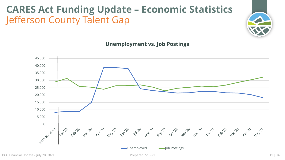# **CARES Act Funding Update – Economic Statistics** Jefferson County Talent Gap





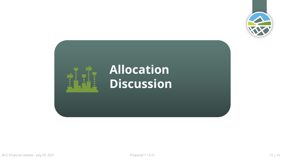

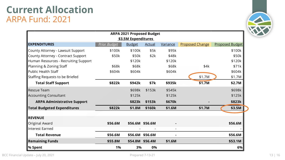#### **Current Allocation** ARPA Fund: 2021

| <b>ARPA 2021 Proposed Budget</b>     |                     |               |                 |                 |                        |                        |  |  |  |  |  |  |
|--------------------------------------|---------------------|---------------|-----------------|-----------------|------------------------|------------------------|--|--|--|--|--|--|
| \$3.5M Expenditures                  |                     |               |                 |                 |                        |                        |  |  |  |  |  |  |
| <b>EXPENDITURES</b>                  | <b>Prior Budget</b> | <b>Budget</b> | <b>Actual</b>   | <b>Variance</b> | <b>Proposed Change</b> | <b>Proposed Budget</b> |  |  |  |  |  |  |
| County Attorney - Lawsuit Support    | \$100k              | \$100k        | \$5k            | \$95k           |                        | \$100k                 |  |  |  |  |  |  |
| County Attorney - Contract Support   | \$50k               | \$50k         | \$2k            | \$48k           |                        | \$50k                  |  |  |  |  |  |  |
| Human Resources - Recruiting Support |                     | \$120k        |                 | \$120k          |                        | \$120k                 |  |  |  |  |  |  |
| Planning & Zoning Staff              | \$68k               | \$68k         |                 | \$68k           | \$4k                   | \$71k                  |  |  |  |  |  |  |
| <b>Public Health Staff</b>           | \$604k              | \$604k        |                 | \$604k          |                        | \$604k                 |  |  |  |  |  |  |
| Staffing Requests to be Briefed      |                     |               |                 |                 | \$1.7M                 | \$1.7M                 |  |  |  |  |  |  |
| <b>Total Staff Support</b>           | \$822k              | \$942k        | \$7k            | \$935k          | \$1.7M                 | \$2.7M                 |  |  |  |  |  |  |
| <b>Rescue Team</b>                   |                     | \$698k        | \$153k          | \$545k          |                        | \$698k                 |  |  |  |  |  |  |
| <b>Accounting Consultant</b>         |                     | \$125k        |                 | \$125k          |                        | \$125k                 |  |  |  |  |  |  |
| <b>ARPA Administrative Support</b>   |                     | \$823k        | \$153k          | \$670k          |                        | \$823k                 |  |  |  |  |  |  |
| <b>Total Budgeted Expenditures</b>   | \$822k              | \$1.8M        | \$160k          | \$1.6M          | \$1.7M                 | \$3.5M                 |  |  |  |  |  |  |
| <b>REVENUE</b>                       |                     |               |                 |                 |                        |                        |  |  |  |  |  |  |
| Original Award                       | \$56.6M             |               | \$56.6M \$56.6M |                 |                        | \$56.6M                |  |  |  |  |  |  |
| <b>Interest Earned</b>               |                     |               |                 | $\blacksquare$  |                        |                        |  |  |  |  |  |  |
| <b>Total Revenue</b>                 | \$56.6M             |               | \$56.6M \$56.6M |                 |                        | \$56.6M                |  |  |  |  |  |  |
| <b>Remaining Funds</b>               | \$55.8M             |               | \$54.8M \$56.4M | \$1.6M          |                        | \$53.1M                |  |  |  |  |  |  |
| % Spent                              | 1%                  | 3%            | 0%              |                 |                        | 6%                     |  |  |  |  |  |  |

BCC Financial Update – July 20, 2021 2001 20: 20:21 Prepared 7-13-21 20:21 20:21 20:21 20:21 20:21 20:21 20:21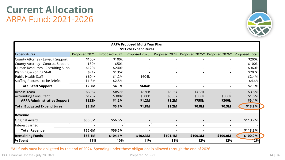#### **Current Allocation** ARPA Fund: 2021-2026



| <b>ARPA Proposed Multi Year Plan</b> |               |               |               |               |                |                |                       |  |  |  |
|--------------------------------------|---------------|---------------|---------------|---------------|----------------|----------------|-----------------------|--|--|--|
| \$13.2M Expenditures                 |               |               |               |               |                |                |                       |  |  |  |
| <b>Expenditures</b>                  | Proposed 2021 | Proposed 2022 | Proposed 2023 | Proposed 2024 | Proposed 2025* | Proposed 2026* | <b>Proposed Total</b> |  |  |  |
| County Attorney - Lawsuit Support    | \$100k        | \$100k        |               |               |                |                | \$200k                |  |  |  |
| County Attorney - Contract Support   | \$50k         | \$50k         |               |               |                |                | \$100k                |  |  |  |
| Human Resources - Recruiting Supp    | \$120k        | \$240k        |               |               |                |                | \$360k                |  |  |  |
| Planning & Zoning Staff              | \$71k         | \$135k        |               |               |                |                | \$207k                |  |  |  |
| <b>Public Health Staff</b>           | \$604k        | \$1.2M        | \$604k        |               |                |                | \$2.4M                |  |  |  |
| Staffing Requests to be Briefed      | \$1.8M        | \$2.8M        |               |               |                |                | \$4.6M                |  |  |  |
| <b>Total Staff Support</b>           | \$2.7M        | \$4.5M        | \$604k        |               |                |                | \$7.8M                |  |  |  |
| <b>Rescue Team</b>                   | \$698k        | \$857k        | \$876k        | \$895k        | \$458k         |                | \$3.8M                |  |  |  |
| <b>Accounting Consultant</b>         | \$125k        | \$300k        | \$300k        | \$300k        | \$300k         | \$300k         | \$1.6M                |  |  |  |
| <b>ARPA Administrative Support</b>   | \$823k        | \$1.2M        | \$1.2M        | \$1.2M        | \$758k         | \$300k         | \$5.4M                |  |  |  |
| <b>Total Budgeted Expenditures</b>   | \$3.5M        | \$5.7M        | \$1.8M        | \$1.2M        | \$0.8M         | \$0.3M         | \$13.2M               |  |  |  |
| <b>Revenue</b>                       |               |               |               |               |                |                |                       |  |  |  |
| Original Award                       | \$56.6M       | \$56.6M       |               |               |                |                | \$113.2M              |  |  |  |
| Interest Earned                      |               |               |               |               |                |                |                       |  |  |  |
| <b>Total Revenue</b>                 | \$56.6M       | \$56.6M       |               |               |                |                | \$113.2M              |  |  |  |
| <b>Remaining Funds</b>               | \$53.1M       | \$104.1M      | \$102.3M      | \$101.1M      | \$100.3M       | \$100.0M       | \$100.0M              |  |  |  |
| % Spent                              | 11%           | 10%           | 11%           | 11%           | 12%            | 12%            | 12%                   |  |  |  |

\*All funds must be obligated by the end of 2024. Spending under those obligations is allowed through the end of 2026.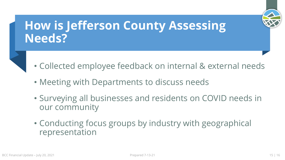

# **How is Jefferson County Assessing Needs?**

- Collected employee feedback on internal & external needs
- Meeting with Departments to discuss needs
- Surveying all businesses and residents on COVID needs in our community
- Conducting focus groups by industry with geographical representation